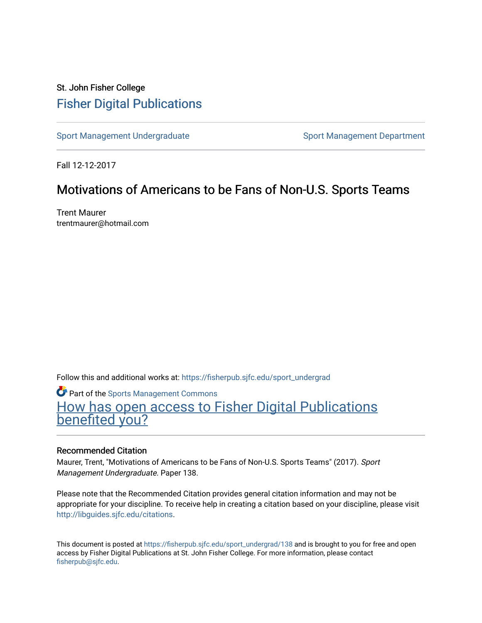# St. John Fisher College [Fisher Digital Publications](https://fisherpub.sjfc.edu/)

[Sport Management Undergraduate](https://fisherpub.sjfc.edu/sport_undergrad) Sport Management Department

Fall 12-12-2017

# Motivations of Americans to be Fans of Non-U.S. Sports Teams

Trent Maurer trentmaurer@hotmail.com

Follow this and additional works at: [https://fisherpub.sjfc.edu/sport\\_undergrad](https://fisherpub.sjfc.edu/sport_undergrad?utm_source=fisherpub.sjfc.edu%2Fsport_undergrad%2F138&utm_medium=PDF&utm_campaign=PDFCoverPages) 

**Part of the [Sports Management Commons](http://network.bepress.com/hgg/discipline/1193?utm_source=fisherpub.sjfc.edu%2Fsport_undergrad%2F138&utm_medium=PDF&utm_campaign=PDFCoverPages)** [How has open access to Fisher Digital Publications](https://docs.google.com/forms/d/14zrnDfH9d1wcdq8oG_-gFabAsxfcH5claltx85ZWyTg/viewform?entry.1394608989=https://fisherpub.sjfc.edu/sport_undergrad/138%3Chttps://docs.google.com/forms/d/14zrnDfH9d1wcdq8oG_-gFabAsxfcH5claltx85ZWyTg/viewform?entry.1394608989=%7bhttps://fisherpub.sjfc.edu/sport_undergrad/138%7d) [benefited you?](https://docs.google.com/forms/d/14zrnDfH9d1wcdq8oG_-gFabAsxfcH5claltx85ZWyTg/viewform?entry.1394608989=https://fisherpub.sjfc.edu/sport_undergrad/138%3Chttps://docs.google.com/forms/d/14zrnDfH9d1wcdq8oG_-gFabAsxfcH5claltx85ZWyTg/viewform?entry.1394608989=%7bhttps://fisherpub.sjfc.edu/sport_undergrad/138%7d)

# Recommended Citation

Maurer, Trent, "Motivations of Americans to be Fans of Non-U.S. Sports Teams" (2017). Sport Management Undergraduate. Paper 138.

Please note that the Recommended Citation provides general citation information and may not be appropriate for your discipline. To receive help in creating a citation based on your discipline, please visit [http://libguides.sjfc.edu/citations.](http://libguides.sjfc.edu/citations)

This document is posted at [https://fisherpub.sjfc.edu/sport\\_undergrad/138](https://fisherpub.sjfc.edu/sport_undergrad/138) and is brought to you for free and open access by Fisher Digital Publications at St. John Fisher College. For more information, please contact [fisherpub@sjfc.edu](mailto:fisherpub@sjfc.edu).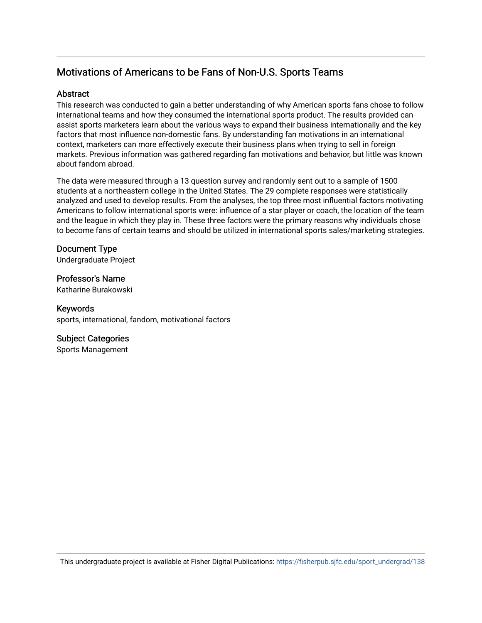# Motivations of Americans to be Fans of Non-U.S. Sports Teams

# Abstract

This research was conducted to gain a better understanding of why American sports fans chose to follow international teams and how they consumed the international sports product. The results provided can assist sports marketers learn about the various ways to expand their business internationally and the key factors that most influence non-domestic fans. By understanding fan motivations in an international context, marketers can more effectively execute their business plans when trying to sell in foreign markets. Previous information was gathered regarding fan motivations and behavior, but little was known about fandom abroad.

The data were measured through a 13 question survey and randomly sent out to a sample of 1500 students at a northeastern college in the United States. The 29 complete responses were statistically analyzed and used to develop results. From the analyses, the top three most influential factors motivating Americans to follow international sports were: influence of a star player or coach, the location of the team and the league in which they play in. These three factors were the primary reasons why individuals chose to become fans of certain teams and should be utilized in international sports sales/marketing strategies.

Document Type Undergraduate Project

Professor's Name Katharine Burakowski

Keywords sports, international, fandom, motivational factors

# Subject Categories

Sports Management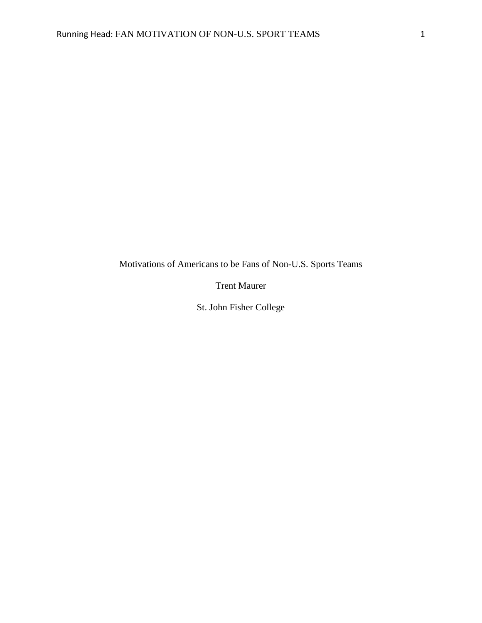Motivations of Americans to be Fans of Non-U.S. Sports Teams

Trent Maurer

St. John Fisher College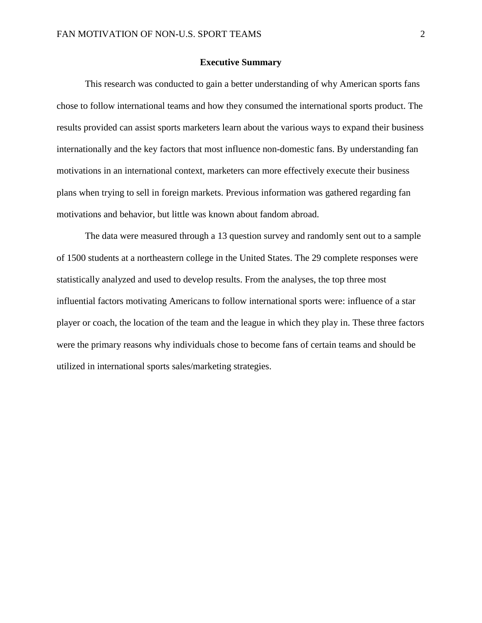# **Executive Summary**

This research was conducted to gain a better understanding of why American sports fans chose to follow international teams and how they consumed the international sports product. The results provided can assist sports marketers learn about the various ways to expand their business internationally and the key factors that most influence non-domestic fans. By understanding fan motivations in an international context, marketers can more effectively execute their business plans when trying to sell in foreign markets. Previous information was gathered regarding fan motivations and behavior, but little was known about fandom abroad.

The data were measured through a 13 question survey and randomly sent out to a sample of 1500 students at a northeastern college in the United States. The 29 complete responses were statistically analyzed and used to develop results. From the analyses, the top three most influential factors motivating Americans to follow international sports were: influence of a star player or coach, the location of the team and the league in which they play in. These three factors were the primary reasons why individuals chose to become fans of certain teams and should be utilized in international sports sales/marketing strategies.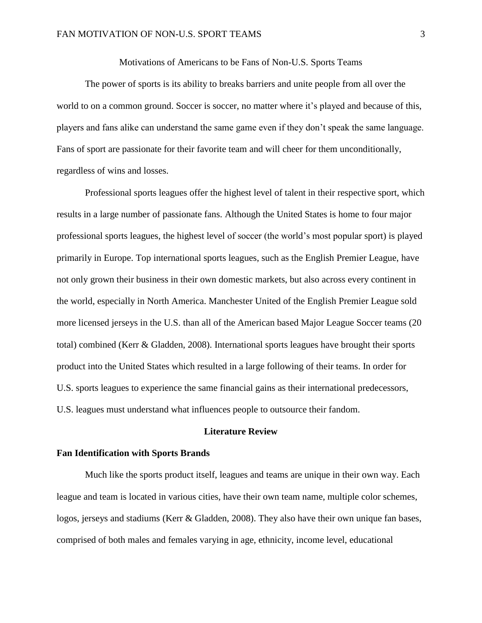Motivations of Americans to be Fans of Non-U.S. Sports Teams

The power of sports is its ability to breaks barriers and unite people from all over the world to on a common ground. Soccer is soccer, no matter where it's played and because of this, players and fans alike can understand the same game even if they don't speak the same language. Fans of sport are passionate for their favorite team and will cheer for them unconditionally, regardless of wins and losses.

Professional sports leagues offer the highest level of talent in their respective sport, which results in a large number of passionate fans. Although the United States is home to four major professional sports leagues, the highest level of soccer (the world's most popular sport) is played primarily in Europe. Top international sports leagues, such as the English Premier League, have not only grown their business in their own domestic markets, but also across every continent in the world, especially in North America. Manchester United of the English Premier League sold more licensed jerseys in the U.S. than all of the American based Major League Soccer teams (20 total) combined (Kerr & Gladden, 2008). International sports leagues have brought their sports product into the United States which resulted in a large following of their teams. In order for U.S. sports leagues to experience the same financial gains as their international predecessors, U.S. leagues must understand what influences people to outsource their fandom.

# **Literature Review**

# **Fan Identification with Sports Brands**

Much like the sports product itself, leagues and teams are unique in their own way. Each league and team is located in various cities, have their own team name, multiple color schemes, logos, jerseys and stadiums (Kerr & Gladden, 2008). They also have their own unique fan bases, comprised of both males and females varying in age, ethnicity, income level, educational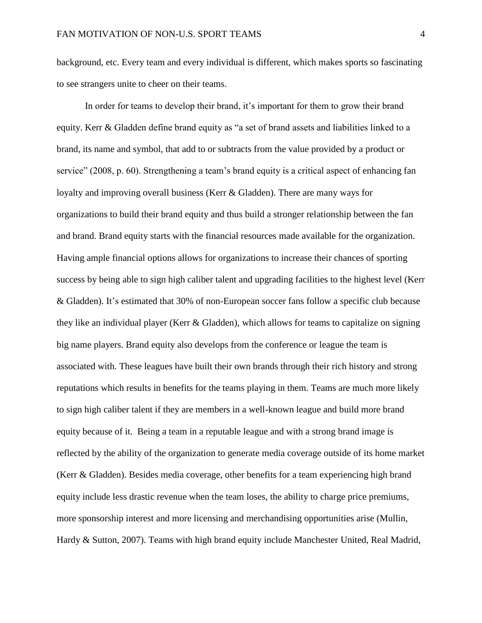background, etc. Every team and every individual is different, which makes sports so fascinating to see strangers unite to cheer on their teams.

In order for teams to develop their brand, it's important for them to grow their brand equity. Kerr & Gladden define brand equity as "a set of brand assets and liabilities linked to a brand, its name and symbol, that add to or subtracts from the value provided by a product or service" (2008, p. 60). Strengthening a team's brand equity is a critical aspect of enhancing fan loyalty and improving overall business (Kerr & Gladden). There are many ways for organizations to build their brand equity and thus build a stronger relationship between the fan and brand. Brand equity starts with the financial resources made available for the organization. Having ample financial options allows for organizations to increase their chances of sporting success by being able to sign high caliber talent and upgrading facilities to the highest level (Kerr & Gladden). It's estimated that 30% of non-European soccer fans follow a specific club because they like an individual player (Kerr & Gladden), which allows for teams to capitalize on signing big name players. Brand equity also develops from the conference or league the team is associated with. These leagues have built their own brands through their rich history and strong reputations which results in benefits for the teams playing in them. Teams are much more likely to sign high caliber talent if they are members in a well-known league and build more brand equity because of it. Being a team in a reputable league and with a strong brand image is reflected by the ability of the organization to generate media coverage outside of its home market (Kerr & Gladden). Besides media coverage, other benefits for a team experiencing high brand equity include less drastic revenue when the team loses, the ability to charge price premiums, more sponsorship interest and more licensing and merchandising opportunities arise (Mullin, Hardy & Sutton, 2007). Teams with high brand equity include Manchester United, Real Madrid,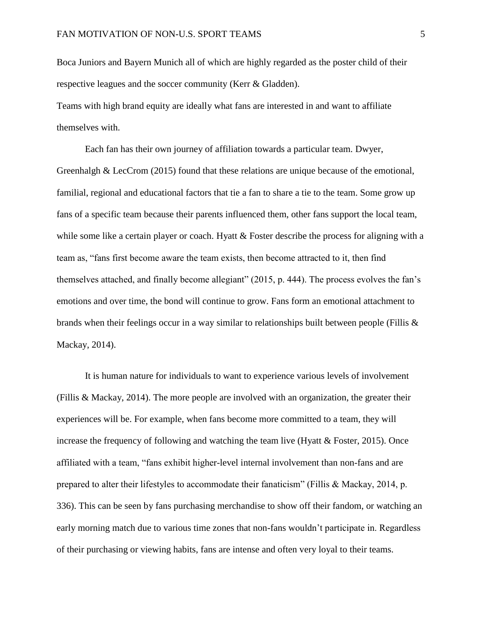Boca Juniors and Bayern Munich all of which are highly regarded as the poster child of their respective leagues and the soccer community (Kerr & Gladden).

Teams with high brand equity are ideally what fans are interested in and want to affiliate themselves with.

Each fan has their own journey of affiliation towards a particular team. Dwyer, Greenhalgh & LecCrom (2015) found that these relations are unique because of the emotional, familial, regional and educational factors that tie a fan to share a tie to the team. Some grow up fans of a specific team because their parents influenced them, other fans support the local team, while some like a certain player or coach. Hyatt & Foster describe the process for aligning with a team as, "fans first become aware the team exists, then become attracted to it, then find themselves attached, and finally become allegiant" (2015, p. 444). The process evolves the fan's emotions and over time, the bond will continue to grow. Fans form an emotional attachment to brands when their feelings occur in a way similar to relationships built between people (Fillis & Mackay, 2014).

It is human nature for individuals to want to experience various levels of involvement (Fillis & Mackay, 2014). The more people are involved with an organization, the greater their experiences will be. For example, when fans become more committed to a team, they will increase the frequency of following and watching the team live (Hyatt & Foster, 2015). Once affiliated with a team, "fans exhibit higher-level internal involvement than non-fans and are prepared to alter their lifestyles to accommodate their fanaticism" (Fillis & Mackay, 2014, p. 336). This can be seen by fans purchasing merchandise to show off their fandom, or watching an early morning match due to various time zones that non-fans wouldn't participate in. Regardless of their purchasing or viewing habits, fans are intense and often very loyal to their teams.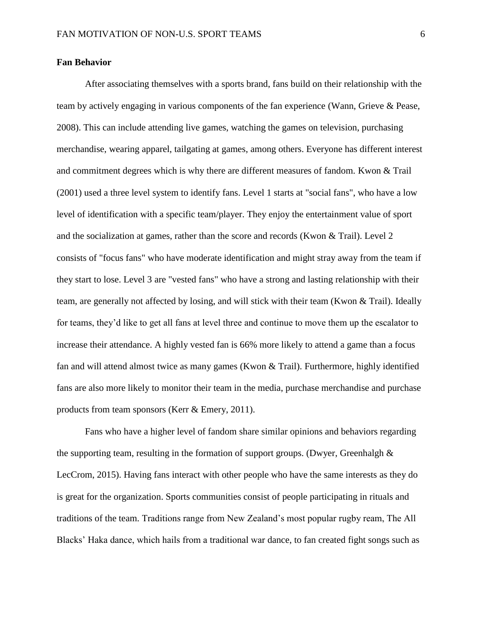# **Fan Behavior**

After associating themselves with a sports brand, fans build on their relationship with the team by actively engaging in various components of the fan experience (Wann, Grieve & Pease, 2008). This can include attending live games, watching the games on television, purchasing merchandise, wearing apparel, tailgating at games, among others. Everyone has different interest and commitment degrees which is why there are different measures of fandom. Kwon & Trail (2001) used a three level system to identify fans. Level 1 starts at "social fans", who have a low level of identification with a specific team/player. They enjoy the entertainment value of sport and the socialization at games, rather than the score and records (Kwon & Trail). Level 2 consists of "focus fans" who have moderate identification and might stray away from the team if they start to lose. Level 3 are "vested fans" who have a strong and lasting relationship with their team, are generally not affected by losing, and will stick with their team (Kwon & Trail). Ideally for teams, they'd like to get all fans at level three and continue to move them up the escalator to increase their attendance. A highly vested fan is 66% more likely to attend a game than a focus fan and will attend almost twice as many games (Kwon  $\&$  Trail). Furthermore, highly identified fans are also more likely to monitor their team in the media, purchase merchandise and purchase products from team sponsors (Kerr & Emery, 2011).

Fans who have a higher level of fandom share similar opinions and behaviors regarding the supporting team, resulting in the formation of support groups. (Dwyer, Greenhalgh  $\&$ LecCrom, 2015). Having fans interact with other people who have the same interests as they do is great for the organization. Sports communities consist of people participating in rituals and traditions of the team. Traditions range from New Zealand's most popular rugby ream, The All Blacks' Haka dance, which hails from a traditional war dance, to fan created fight songs such as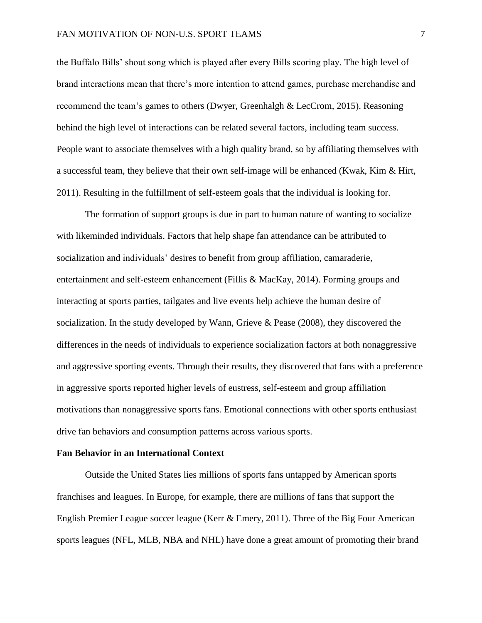the Buffalo Bills' shout song which is played after every Bills scoring play. The high level of brand interactions mean that there's more intention to attend games, purchase merchandise and recommend the team's games to others (Dwyer, Greenhalgh & LecCrom, 2015). Reasoning behind the high level of interactions can be related several factors, including team success. People want to associate themselves with a high quality brand, so by affiliating themselves with a successful team, they believe that their own self-image will be enhanced (Kwak, Kim & Hirt, 2011). Resulting in the fulfillment of self-esteem goals that the individual is looking for.

The formation of support groups is due in part to human nature of wanting to socialize with likeminded individuals. Factors that help shape fan attendance can be attributed to socialization and individuals' desires to benefit from group affiliation, camaraderie, entertainment and self-esteem enhancement (Fillis & MacKay, 2014). Forming groups and interacting at sports parties, tailgates and live events help achieve the human desire of socialization. In the study developed by Wann, Grieve & Pease (2008), they discovered the differences in the needs of individuals to experience socialization factors at both nonaggressive and aggressive sporting events. Through their results, they discovered that fans with a preference in aggressive sports reported higher levels of eustress, self-esteem and group affiliation motivations than nonaggressive sports fans. Emotional connections with other sports enthusiast drive fan behaviors and consumption patterns across various sports.

#### **Fan Behavior in an International Context**

Outside the United States lies millions of sports fans untapped by American sports franchises and leagues. In Europe, for example, there are millions of fans that support the English Premier League soccer league (Kerr & Emery, 2011). Three of the Big Four American sports leagues (NFL, MLB, NBA and NHL) have done a great amount of promoting their brand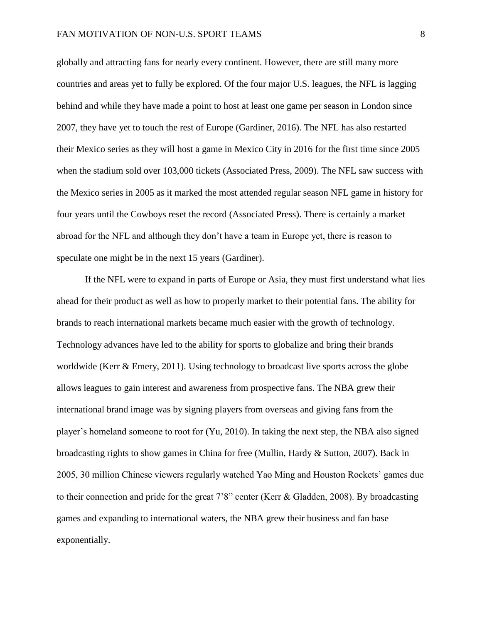globally and attracting fans for nearly every continent. However, there are still many more countries and areas yet to fully be explored. Of the four major U.S. leagues, the NFL is lagging behind and while they have made a point to host at least one game per season in London since 2007, they have yet to touch the rest of Europe (Gardiner, 2016). The NFL has also restarted their Mexico series as they will host a game in Mexico City in 2016 for the first time since 2005 when the stadium sold over 103,000 tickets (Associated Press, 2009). The NFL saw success with the Mexico series in 2005 as it marked the most attended regular season NFL game in history for four years until the Cowboys reset the record (Associated Press). There is certainly a market abroad for the NFL and although they don't have a team in Europe yet, there is reason to speculate one might be in the next 15 years (Gardiner).

If the NFL were to expand in parts of Europe or Asia, they must first understand what lies ahead for their product as well as how to properly market to their potential fans. The ability for brands to reach international markets became much easier with the growth of technology. Technology advances have led to the ability for sports to globalize and bring their brands worldwide (Kerr & Emery, 2011). Using technology to broadcast live sports across the globe allows leagues to gain interest and awareness from prospective fans. The NBA grew their international brand image was by signing players from overseas and giving fans from the player's homeland someone to root for (Yu, 2010). In taking the next step, the NBA also signed broadcasting rights to show games in China for free (Mullin, Hardy & Sutton, 2007). Back in 2005, 30 million Chinese viewers regularly watched Yao Ming and Houston Rockets' games due to their connection and pride for the great 7'8" center (Kerr & Gladden, 2008). By broadcasting games and expanding to international waters, the NBA grew their business and fan base exponentially.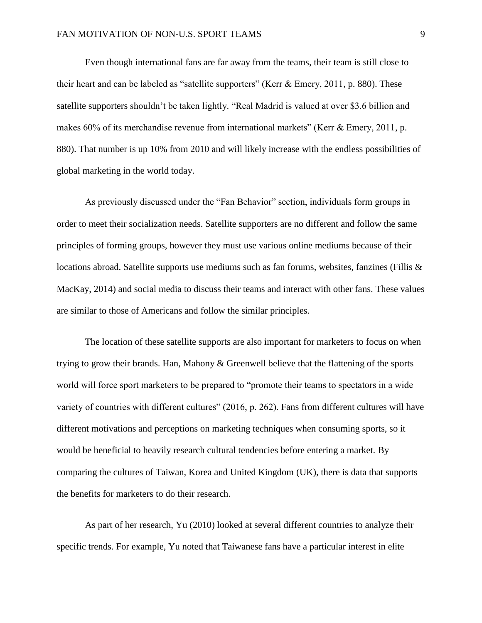Even though international fans are far away from the teams, their team is still close to their heart and can be labeled as "satellite supporters" (Kerr & Emery, 2011, p. 880). These satellite supporters shouldn't be taken lightly. "Real Madrid is valued at over \$3.6 billion and makes 60% of its merchandise revenue from international markets" (Kerr & Emery, 2011, p. 880). That number is up 10% from 2010 and will likely increase with the endless possibilities of global marketing in the world today.

As previously discussed under the "Fan Behavior" section, individuals form groups in order to meet their socialization needs. Satellite supporters are no different and follow the same principles of forming groups, however they must use various online mediums because of their locations abroad. Satellite supports use mediums such as fan forums, websites, fanzines (Fillis & MacKay, 2014) and social media to discuss their teams and interact with other fans. These values are similar to those of Americans and follow the similar principles.

The location of these satellite supports are also important for marketers to focus on when trying to grow their brands. Han, Mahony & Greenwell believe that the flattening of the sports world will force sport marketers to be prepared to "promote their teams to spectators in a wide variety of countries with different cultures" (2016, p. 262). Fans from different cultures will have different motivations and perceptions on marketing techniques when consuming sports, so it would be beneficial to heavily research cultural tendencies before entering a market. By comparing the cultures of Taiwan, Korea and United Kingdom (UK), there is data that supports the benefits for marketers to do their research.

As part of her research, Yu (2010) looked at several different countries to analyze their specific trends. For example, Yu noted that Taiwanese fans have a particular interest in elite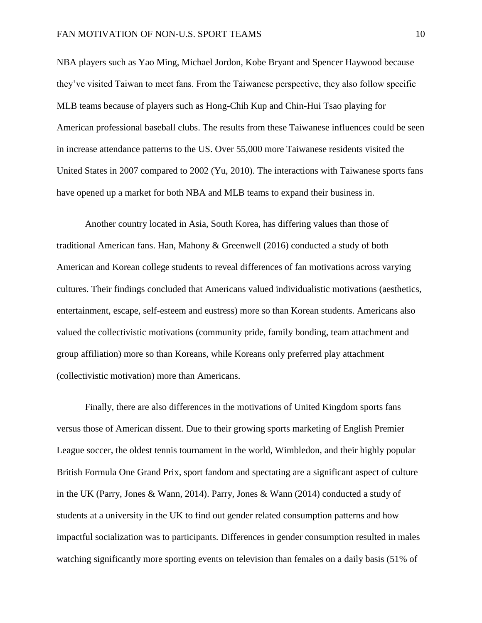NBA players such as Yao Ming, Michael Jordon, Kobe Bryant and Spencer Haywood because they've visited Taiwan to meet fans. From the Taiwanese perspective, they also follow specific MLB teams because of players such as Hong-Chih Kup and Chin-Hui Tsao playing for American professional baseball clubs. The results from these Taiwanese influences could be seen in increase attendance patterns to the US. Over 55,000 more Taiwanese residents visited the United States in 2007 compared to 2002 (Yu, 2010). The interactions with Taiwanese sports fans have opened up a market for both NBA and MLB teams to expand their business in.

Another country located in Asia, South Korea, has differing values than those of traditional American fans. Han, Mahony & Greenwell (2016) conducted a study of both American and Korean college students to reveal differences of fan motivations across varying cultures. Their findings concluded that Americans valued individualistic motivations (aesthetics, entertainment, escape, self-esteem and eustress) more so than Korean students. Americans also valued the collectivistic motivations (community pride, family bonding, team attachment and group affiliation) more so than Koreans, while Koreans only preferred play attachment (collectivistic motivation) more than Americans.

Finally, there are also differences in the motivations of United Kingdom sports fans versus those of American dissent. Due to their growing sports marketing of English Premier League soccer, the oldest tennis tournament in the world, Wimbledon, and their highly popular British Formula One Grand Prix, sport fandom and spectating are a significant aspect of culture in the UK (Parry, Jones & Wann, 2014). Parry, Jones & Wann (2014) conducted a study of students at a university in the UK to find out gender related consumption patterns and how impactful socialization was to participants. Differences in gender consumption resulted in males watching significantly more sporting events on television than females on a daily basis (51% of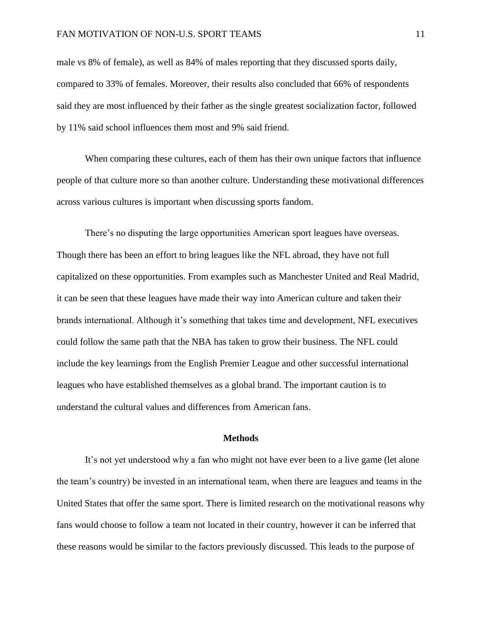male vs 8% of female), as well as 84% of males reporting that they discussed sports daily, compared to 33% of females. Moreover, their results also concluded that 66% of respondents said they are most influenced by their father as the single greatest socialization factor, followed by 11% said school influences them most and 9% said friend.

When comparing these cultures, each of them has their own unique factors that influence people of that culture more so than another culture. Understanding these motivational differences across various cultures is important when discussing sports fandom.

There's no disputing the large opportunities American sport leagues have overseas. Though there has been an effort to bring leagues like the NFL abroad, they have not full capitalized on these opportunities. From examples such as Manchester United and Real Madrid, it can be seen that these leagues have made their way into American culture and taken their brands international. Although it's something that takes time and development, NFL executives could follow the same path that the NBA has taken to grow their business. The NFL could include the key learnings from the English Premier League and other successful international leagues who have established themselves as a global brand. The important caution is to understand the cultural values and differences from American fans.

#### **Methods**

It's not yet understood why a fan who might not have ever been to a live game (let alone the team's country) be invested in an international team, when there are leagues and teams in the United States that offer the same sport. There is limited research on the motivational reasons why fans would choose to follow a team not located in their country, however it can be inferred that these reasons would be similar to the factors previously discussed. This leads to the purpose of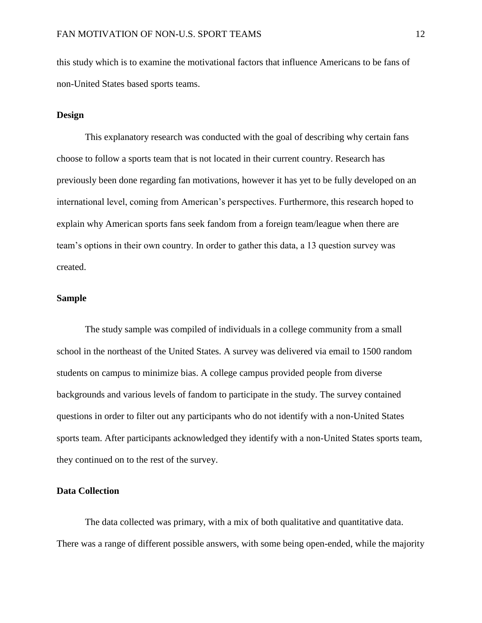this study which is to examine the motivational factors that influence Americans to be fans of non-United States based sports teams.

# **Design**

This explanatory research was conducted with the goal of describing why certain fans choose to follow a sports team that is not located in their current country. Research has previously been done regarding fan motivations, however it has yet to be fully developed on an international level, coming from American's perspectives. Furthermore, this research hoped to explain why American sports fans seek fandom from a foreign team/league when there are team's options in their own country. In order to gather this data, a 13 question survey was created.

# **Sample**

The study sample was compiled of individuals in a college community from a small school in the northeast of the United States. A survey was delivered via email to 1500 random students on campus to minimize bias. A college campus provided people from diverse backgrounds and various levels of fandom to participate in the study. The survey contained questions in order to filter out any participants who do not identify with a non-United States sports team. After participants acknowledged they identify with a non-United States sports team, they continued on to the rest of the survey.

# **Data Collection**

The data collected was primary, with a mix of both qualitative and quantitative data. There was a range of different possible answers, with some being open-ended, while the majority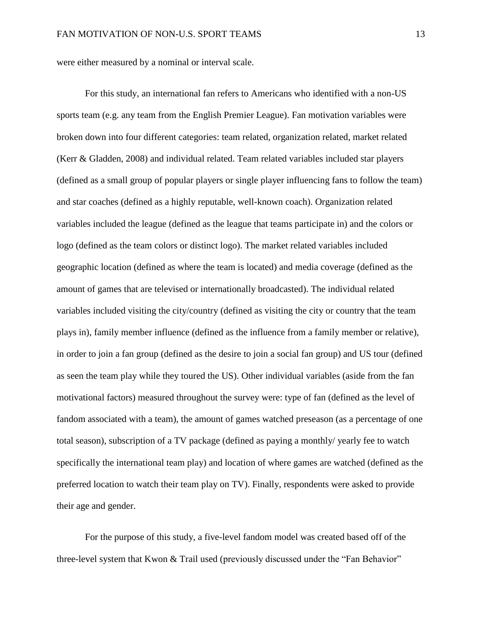were either measured by a nominal or interval scale.

For this study, an international fan refers to Americans who identified with a non-US sports team (e.g. any team from the English Premier League). Fan motivation variables were broken down into four different categories: team related, organization related, market related (Kerr & Gladden, 2008) and individual related. Team related variables included star players (defined as a small group of popular players or single player influencing fans to follow the team) and star coaches (defined as a highly reputable, well-known coach). Organization related variables included the league (defined as the league that teams participate in) and the colors or logo (defined as the team colors or distinct logo). The market related variables included geographic location (defined as where the team is located) and media coverage (defined as the amount of games that are televised or internationally broadcasted). The individual related variables included visiting the city/country (defined as visiting the city or country that the team plays in), family member influence (defined as the influence from a family member or relative), in order to join a fan group (defined as the desire to join a social fan group) and US tour (defined as seen the team play while they toured the US). Other individual variables (aside from the fan motivational factors) measured throughout the survey were: type of fan (defined as the level of fandom associated with a team), the amount of games watched preseason (as a percentage of one total season), subscription of a TV package (defined as paying a monthly/ yearly fee to watch specifically the international team play) and location of where games are watched (defined as the preferred location to watch their team play on TV). Finally, respondents were asked to provide their age and gender.

For the purpose of this study, a five-level fandom model was created based off of the three-level system that Kwon & Trail used (previously discussed under the "Fan Behavior"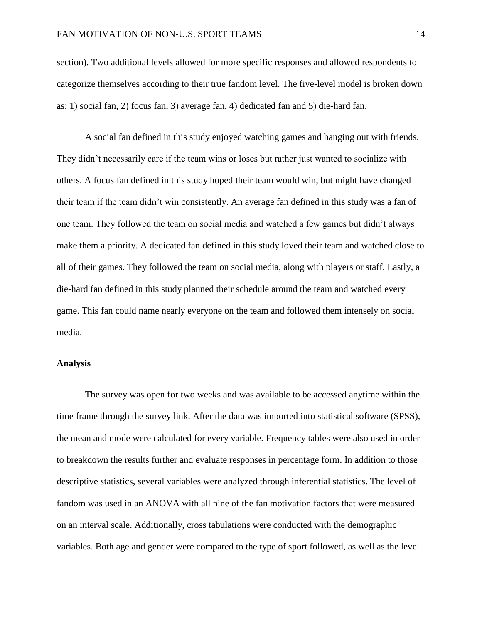# FAN MOTIVATION OF NON-U.S. SPORT TEAMS 14

section). Two additional levels allowed for more specific responses and allowed respondents to categorize themselves according to their true fandom level. The five-level model is broken down as: 1) social fan, 2) focus fan, 3) average fan, 4) dedicated fan and 5) die-hard fan.

A social fan defined in this study enjoyed watching games and hanging out with friends. They didn't necessarily care if the team wins or loses but rather just wanted to socialize with others. A focus fan defined in this study hoped their team would win, but might have changed their team if the team didn't win consistently. An average fan defined in this study was a fan of one team. They followed the team on social media and watched a few games but didn't always make them a priority. A dedicated fan defined in this study loved their team and watched close to all of their games. They followed the team on social media, along with players or staff. Lastly, a die-hard fan defined in this study planned their schedule around the team and watched every game. This fan could name nearly everyone on the team and followed them intensely on social media.

# **Analysis**

The survey was open for two weeks and was available to be accessed anytime within the time frame through the survey link. After the data was imported into statistical software (SPSS), the mean and mode were calculated for every variable. Frequency tables were also used in order to breakdown the results further and evaluate responses in percentage form. In addition to those descriptive statistics, several variables were analyzed through inferential statistics. The level of fandom was used in an ANOVA with all nine of the fan motivation factors that were measured on an interval scale. Additionally, cross tabulations were conducted with the demographic variables. Both age and gender were compared to the type of sport followed, as well as the level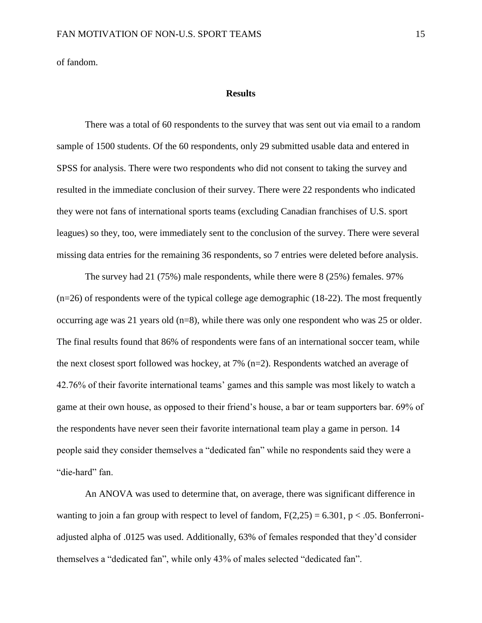of fandom.

#### **Results**

There was a total of 60 respondents to the survey that was sent out via email to a random sample of 1500 students. Of the 60 respondents, only 29 submitted usable data and entered in SPSS for analysis. There were two respondents who did not consent to taking the survey and resulted in the immediate conclusion of their survey. There were 22 respondents who indicated they were not fans of international sports teams (excluding Canadian franchises of U.S. sport leagues) so they, too, were immediately sent to the conclusion of the survey. There were several missing data entries for the remaining 36 respondents, so 7 entries were deleted before analysis.

The survey had 21 (75%) male respondents, while there were 8 (25%) females. 97% (n=26) of respondents were of the typical college age demographic (18-22). The most frequently occurring age was 21 years old (n=8), while there was only one respondent who was 25 or older. The final results found that 86% of respondents were fans of an international soccer team, while the next closest sport followed was hockey, at 7% (n=2). Respondents watched an average of 42.76% of their favorite international teams' games and this sample was most likely to watch a game at their own house, as opposed to their friend's house, a bar or team supporters bar. 69% of the respondents have never seen their favorite international team play a game in person. 14 people said they consider themselves a "dedicated fan" while no respondents said they were a "die-hard" fan.

An ANOVA was used to determine that, on average, there was significant difference in wanting to join a fan group with respect to level of fandom,  $F(2,25) = 6.301$ ,  $p < .05$ . Bonferroniadjusted alpha of .0125 was used. Additionally, 63% of females responded that they'd consider themselves a "dedicated fan", while only 43% of males selected "dedicated fan".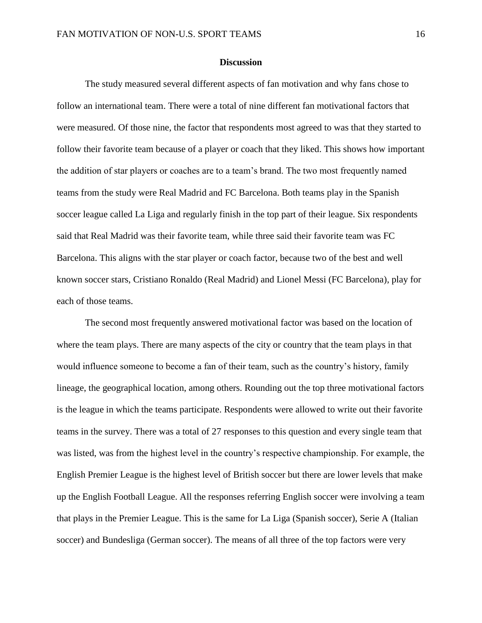# **Discussion**

 The study measured several different aspects of fan motivation and why fans chose to follow an international team. There were a total of nine different fan motivational factors that were measured. Of those nine, the factor that respondents most agreed to was that they started to follow their favorite team because of a player or coach that they liked. This shows how important the addition of star players or coaches are to a team's brand. The two most frequently named teams from the study were Real Madrid and FC Barcelona. Both teams play in the Spanish soccer league called La Liga and regularly finish in the top part of their league. Six respondents said that Real Madrid was their favorite team, while three said their favorite team was FC Barcelona. This aligns with the star player or coach factor, because two of the best and well known soccer stars, Cristiano Ronaldo (Real Madrid) and Lionel Messi (FC Barcelona), play for each of those teams.

 The second most frequently answered motivational factor was based on the location of where the team plays. There are many aspects of the city or country that the team plays in that would influence someone to become a fan of their team, such as the country's history, family lineage, the geographical location, among others. Rounding out the top three motivational factors is the league in which the teams participate. Respondents were allowed to write out their favorite teams in the survey. There was a total of 27 responses to this question and every single team that was listed, was from the highest level in the country's respective championship. For example, the English Premier League is the highest level of British soccer but there are lower levels that make up the English Football League. All the responses referring English soccer were involving a team that plays in the Premier League. This is the same for La Liga (Spanish soccer), Serie A (Italian soccer) and Bundesliga (German soccer). The means of all three of the top factors were very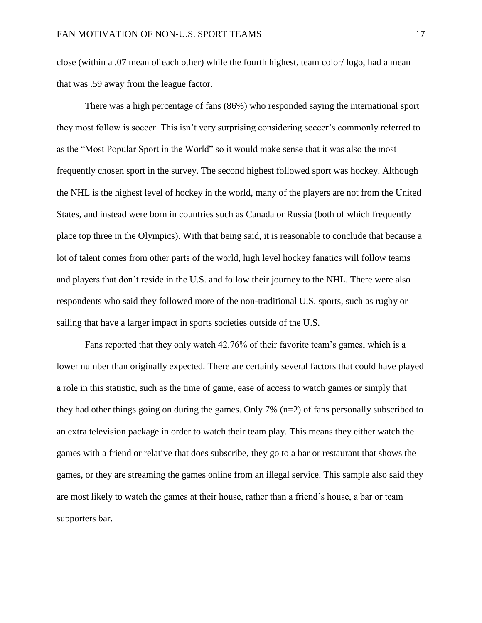close (within a .07 mean of each other) while the fourth highest, team color/ logo, had a mean that was .59 away from the league factor.

There was a high percentage of fans (86%) who responded saying the international sport they most follow is soccer. This isn't very surprising considering soccer's commonly referred to as the "Most Popular Sport in the World" so it would make sense that it was also the most frequently chosen sport in the survey. The second highest followed sport was hockey. Although the NHL is the highest level of hockey in the world, many of the players are not from the United States, and instead were born in countries such as Canada or Russia (both of which frequently place top three in the Olympics). With that being said, it is reasonable to conclude that because a lot of talent comes from other parts of the world, high level hockey fanatics will follow teams and players that don't reside in the U.S. and follow their journey to the NHL. There were also respondents who said they followed more of the non-traditional U.S. sports, such as rugby or sailing that have a larger impact in sports societies outside of the U.S.

Fans reported that they only watch 42.76% of their favorite team's games, which is a lower number than originally expected. There are certainly several factors that could have played a role in this statistic, such as the time of game, ease of access to watch games or simply that they had other things going on during the games. Only 7% (n=2) of fans personally subscribed to an extra television package in order to watch their team play. This means they either watch the games with a friend or relative that does subscribe, they go to a bar or restaurant that shows the games, or they are streaming the games online from an illegal service. This sample also said they are most likely to watch the games at their house, rather than a friend's house, a bar or team supporters bar.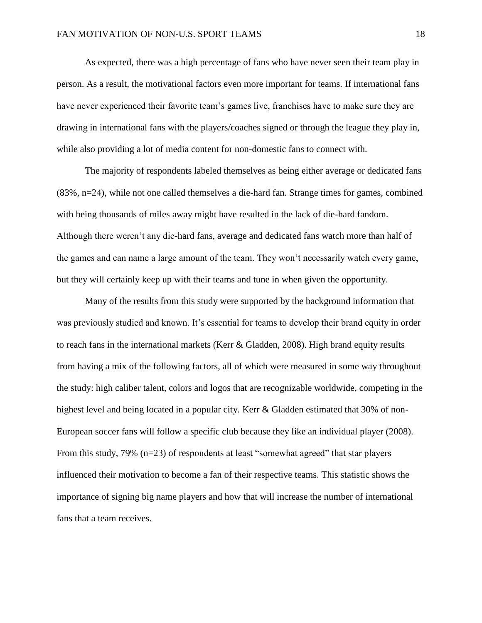As expected, there was a high percentage of fans who have never seen their team play in person. As a result, the motivational factors even more important for teams. If international fans have never experienced their favorite team's games live, franchises have to make sure they are drawing in international fans with the players/coaches signed or through the league they play in, while also providing a lot of media content for non-domestic fans to connect with.

The majority of respondents labeled themselves as being either average or dedicated fans (83%, n=24), while not one called themselves a die-hard fan. Strange times for games, combined with being thousands of miles away might have resulted in the lack of die-hard fandom. Although there weren't any die-hard fans, average and dedicated fans watch more than half of the games and can name a large amount of the team. They won't necessarily watch every game, but they will certainly keep up with their teams and tune in when given the opportunity.

Many of the results from this study were supported by the background information that was previously studied and known. It's essential for teams to develop their brand equity in order to reach fans in the international markets (Kerr & Gladden, 2008). High brand equity results from having a mix of the following factors, all of which were measured in some way throughout the study: high caliber talent, colors and logos that are recognizable worldwide, competing in the highest level and being located in a popular city. Kerr & Gladden estimated that 30% of non-European soccer fans will follow a specific club because they like an individual player (2008). From this study, 79% (n=23) of respondents at least "somewhat agreed" that star players influenced their motivation to become a fan of their respective teams. This statistic shows the importance of signing big name players and how that will increase the number of international fans that a team receives.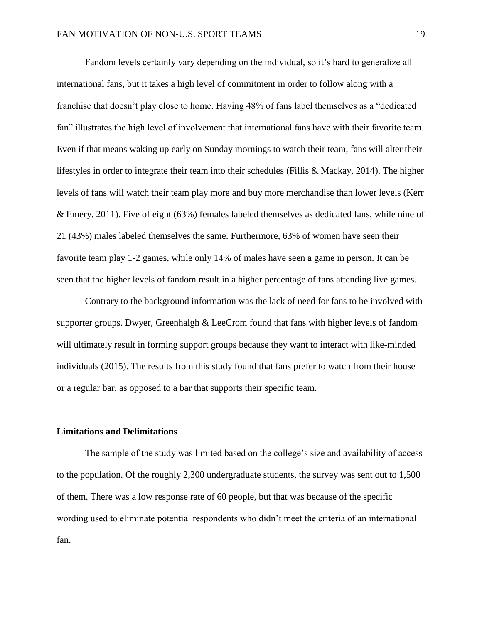Fandom levels certainly vary depending on the individual, so it's hard to generalize all international fans, but it takes a high level of commitment in order to follow along with a franchise that doesn't play close to home. Having 48% of fans label themselves as a "dedicated fan" illustrates the high level of involvement that international fans have with their favorite team. Even if that means waking up early on Sunday mornings to watch their team, fans will alter their lifestyles in order to integrate their team into their schedules (Fillis & Mackay, 2014). The higher levels of fans will watch their team play more and buy more merchandise than lower levels (Kerr & Emery, 2011). Five of eight (63%) females labeled themselves as dedicated fans, while nine of 21 (43%) males labeled themselves the same. Furthermore, 63% of women have seen their favorite team play 1-2 games, while only 14% of males have seen a game in person. It can be seen that the higher levels of fandom result in a higher percentage of fans attending live games.

Contrary to the background information was the lack of need for fans to be involved with supporter groups. Dwyer, Greenhalgh & LeeCrom found that fans with higher levels of fandom will ultimately result in forming support groups because they want to interact with like-minded individuals (2015). The results from this study found that fans prefer to watch from their house or a regular bar, as opposed to a bar that supports their specific team.

# **Limitations and Delimitations**

The sample of the study was limited based on the college's size and availability of access to the population. Of the roughly 2,300 undergraduate students, the survey was sent out to 1,500 of them. There was a low response rate of 60 people, but that was because of the specific wording used to eliminate potential respondents who didn't meet the criteria of an international fan.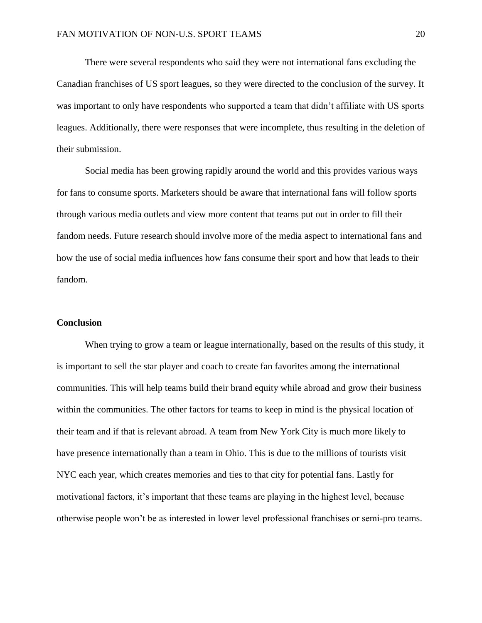There were several respondents who said they were not international fans excluding the Canadian franchises of US sport leagues, so they were directed to the conclusion of the survey. It was important to only have respondents who supported a team that didn't affiliate with US sports leagues. Additionally, there were responses that were incomplete, thus resulting in the deletion of their submission.

Social media has been growing rapidly around the world and this provides various ways for fans to consume sports. Marketers should be aware that international fans will follow sports through various media outlets and view more content that teams put out in order to fill their fandom needs. Future research should involve more of the media aspect to international fans and how the use of social media influences how fans consume their sport and how that leads to their fandom.

# **Conclusion**

 When trying to grow a team or league internationally, based on the results of this study, it is important to sell the star player and coach to create fan favorites among the international communities. This will help teams build their brand equity while abroad and grow their business within the communities. The other factors for teams to keep in mind is the physical location of their team and if that is relevant abroad. A team from New York City is much more likely to have presence internationally than a team in Ohio. This is due to the millions of tourists visit NYC each year, which creates memories and ties to that city for potential fans. Lastly for motivational factors, it's important that these teams are playing in the highest level, because otherwise people won't be as interested in lower level professional franchises or semi-pro teams.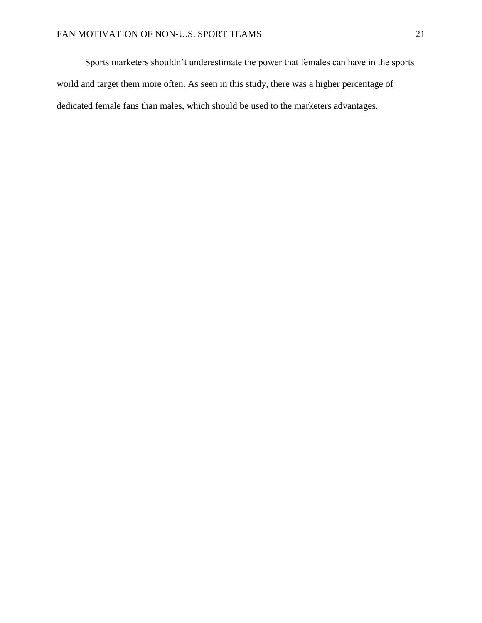Sports marketers shouldn't underestimate the power that females can have in the sports world and target them more often. As seen in this study, there was a higher percentage of dedicated female fans than males, which should be used to the marketers advantages.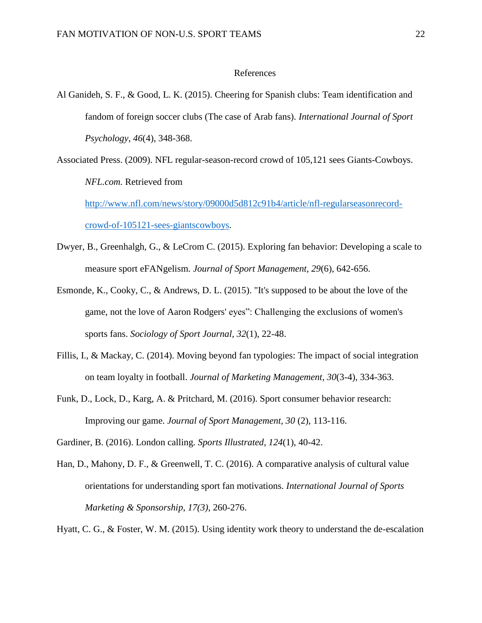# References

- Al Ganideh, S. F., & Good, L. K. (2015). Cheering for Spanish clubs: Team identification and fandom of foreign soccer clubs (The case of Arab fans). *International Journal of Sport Psychology*, *46*(4), 348-368.
- Associated Press. (2009). NFL regular-season-record crowd of 105,121 sees Giants-Cowboys. *NFL.com.* Retrieved from

[http://www.nfl.com/news/story/09000d5d812c91b4/article/nfl-regularseasonrecord](http://www.nfl.com/news/story/09000d5d812c91b4/article/nfl-regularseasonrecord-crowd-of-105121-sees-giantscowboys)[crowd-of-105121-sees-giantscowboys.](http://www.nfl.com/news/story/09000d5d812c91b4/article/nfl-regularseasonrecord-crowd-of-105121-sees-giantscowboys)

- Dwyer, B., Greenhalgh, G., & LeCrom C. (2015). Exploring fan behavior: Developing a scale to measure sport eFANgelism*. Journal of Sport Management, 29*(6), 642-656.
- Esmonde, K., Cooky, C., & Andrews, D. L. (2015). "It's supposed to be about the love of the game, not the love of Aaron Rodgers' eyes": Challenging the exclusions of women's sports fans. *Sociology of Sport Journal*, *32*(1), 22-48.
- Fillis, I., & Mackay, C. (2014). Moving beyond fan typologies: The impact of social integration on team loyalty in football. *Journal of Marketing Management*, *30*(3-4), 334-363.
- Funk, D., Lock, D., Karg, A. & Pritchard, M. (2016). Sport consumer behavior research: Improving our game. *Journal of Sport Management, 30* (2), 113-116.
- Gardiner, B. (2016). London calling. *Sports Illustrated*, *124*(1), 40-42.
- Han, D., Mahony, D. F., & Greenwell, T. C. (2016). A comparative analysis of cultural value orientations for understanding sport fan motivations. *International Journal of Sports Marketing & Sponsorship, 17(3)*, 260-276.

Hyatt, C. G., & Foster, W. M. (2015). Using identity work theory to understand the de-escalation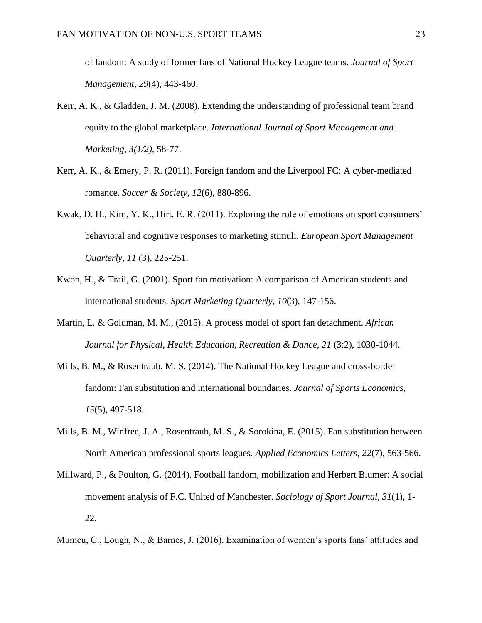of fandom: A study of former fans of National Hockey League teams. *Journal of Sport Management*, *29*(4), 443-460.

- Kerr, A. K., & Gladden, J. M. (2008). Extending the understanding of professional team brand equity to the global marketplace. *International Journal of Sport Management and Marketing, 3(1/2),* 58-77.
- Kerr, A. K., & Emery, P. R. (2011). Foreign fandom and the Liverpool FC: A cyber-mediated romance. *Soccer & Society*, *12*(6), 880-896.
- Kwak, D. H., Kim, Y. K., Hirt, E. R. (2011). Exploring the role of emotions on sport consumers' behavioral and cognitive responses to marketing stimuli. *European Sport Management Quarterly, 11* (3), 225-251.
- Kwon, H., & Trail, G. (2001). Sport fan motivation: A comparison of American students and international students. *Sport Marketing Quarterly*, *10*(3), 147-156.
- Martin, L. & Goldman, M. M., (2015). A process model of sport fan detachment. *African Journal for Physical, Health Education, Recreation & Dance, 21* (3:2), 1030-1044.
- Mills, B. M., & Rosentraub, M. S. (2014). The National Hockey League and cross-border fandom: Fan substitution and international boundaries. *Journal of Sports Economics*, *15*(5), 497-518.
- Mills, B. M., Winfree, J. A., Rosentraub, M. S., & Sorokina, E. (2015). Fan substitution between North American professional sports leagues. *Applied Economics Letters*, *22*(7), 563-566.
- Millward, P., & Poulton, G. (2014). Football fandom, mobilization and Herbert Blumer: A social movement analysis of F.C. United of Manchester. *Sociology of Sport Journal*, *31*(1), 1- 22.

Mumcu, C., Lough, N., & Barnes, J. (2016). Examination of women's sports fans' attitudes and